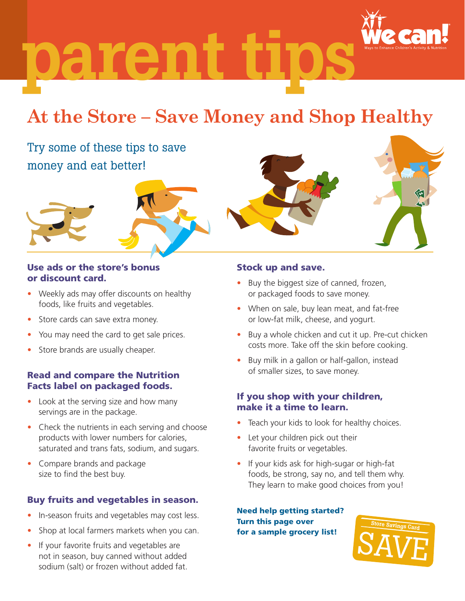parent

# **At the Store – Save Money and Shop Healthy**

## Try some of these tips to save money and eat better!



#### Use ads or the store's bonus or discount card.

- Weekly ads may offer discounts on healthy foods, like fruits and vegetables.
- Store cards can save extra money.
- You may need the card to get sale prices.
- Store brands are usually cheaper.

#### Read and compare the Nutrition Facts label on packaged foods.

- Look at the serving size and how many servings are in the package.
- Check the nutrients in each serving and choose products with lower numbers for calories, saturated and trans fats, sodium, and sugars.
- Compare brands and package size to find the best buy.

### Buy fruits and vegetables in season.

- In-season fruits and vegetables may cost less.
- Shop at local farmers markets when you can.
- If your favorite fruits and vegetables are not in season, buy canned without added sodium (salt) or frozen without added fat.

#### Stock up and save.

- Buy the biggest size of canned, frozen, or packaged foods to save money.
- When on sale, buy lean meat, and fat-free or low-fat milk, cheese, and yogurt.
- Buy a whole chicken and cut it up. Pre-cut chicken costs more. Take off the skin before cooking.
- Buy milk in a gallon or half-gallon, instead of smaller sizes, to save money.

#### If you shop with your children, make it a time to learn.

- Teach your kids to look for healthy choices.
- Let your children pick out their favorite fruits or vegetables.
- If your kids ask for high-sugar or high-fat foods, be strong, say no, and tell them why. They learn to make good choices from you!

Need help getting started? Turn this page over for a sample grocery list!